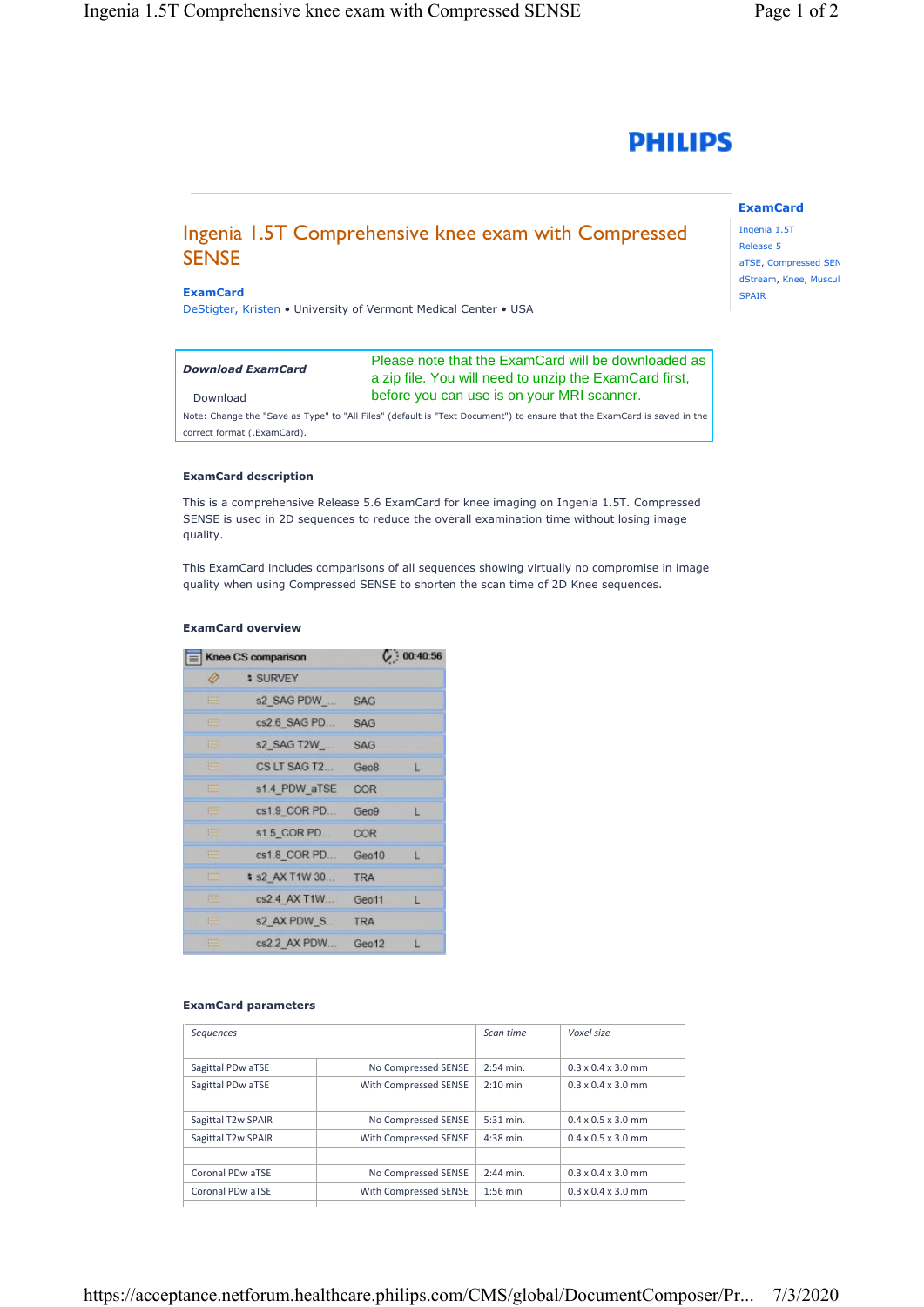

# Ingenia 1.5T Comprehensive knee exam with Compressed **SENSE**

#### **ExamCard**

DeStigter, Kristen • University of Vermont Medical Center • USA

| <b>Download ExamCard</b> | Please note that the ExamCard will be downloaded as<br>a zip file. You will need to unzip the ExamCard first, |
|--------------------------|---------------------------------------------------------------------------------------------------------------|
| Download                 | before you can use is on your MRI scanner.                                                                    |

Note: Change the "Save as Type" to "All Files" (default is "Text Document") to ensure that the ExamCard is saved in the correct format (.ExamCard).

#### **ExamCard description**

This is a comprehensive Release 5.6 ExamCard for knee imaging on Ingenia 1.5T. Compressed SENSE is used in 2D sequences to reduce the overall examination time without losing image quality.

This ExamCard includes comparisons of all sequences showing virtually no compromise in image quality when using Compressed SENSE to shorten the scan time of 2D Knee sequences.

#### **ExamCard overview**

| Knee CS comparison |                        | C: 00:40:56 |    |
|--------------------|------------------------|-------------|----|
| Ø                  | <b>: SURVEY</b>        |             |    |
| E                  | s2 SAG PDW             | <b>SAG</b>  |    |
| ⋿                  | cs2.6 SAG PD           | <b>SAG</b>  |    |
| 医目                 | s2 SAG T2W             | <b>SAG</b>  |    |
| 再                  | CS LT SAG T2           | Geo8        | L  |
| ⋿                  | s1.4 PDW aTSE          | COR         |    |
| e                  | cs1.9 COR PD           | Geo9        | Е  |
| 连                  | s1.5 COR PD            | COR         |    |
| ⊞                  | cs1.8 COR PD           | Geo10       | L  |
| 戸                  | <b>\$ s2 AX T1W 30</b> | <b>TRA</b>  |    |
| 圖                  | cs2.4 AX T1W           | Geo11       | L. |
| e                  | s2 AX PDW S            | <b>TRA</b>  |    |
| 戸                  | cs2.2 AX PDW           | Geo12       | L  |

#### **ExamCard parameters**

| Sequences          |                       | Scan time   | Voxel size                     |
|--------------------|-----------------------|-------------|--------------------------------|
| Sagittal PDw aTSE  | No Compressed SENSE   | $2:54$ min. | $0.3 \times 0.4 \times 3.0$ mm |
| Sagittal PDw aTSE  | With Compressed SENSE | $2:10$ min  | $0.3 \times 0.4 \times 3.0$ mm |
|                    |                       |             |                                |
| Sagittal T2w SPAIR | No Compressed SENSE   | 5:31 min.   | $0.4 \times 0.5 \times 3.0$ mm |
| Sagittal T2w SPAIR | With Compressed SENSE | $4:38$ min. | $0.4 \times 0.5 \times 3.0$ mm |
|                    |                       |             |                                |
| Coronal PDw aTSE   | No Compressed SENSE   | $2:44$ min. | $0.3 \times 0.4 \times 3.0$ mm |
| Coronal PDw aTSE   | With Compressed SENSE | $1:56$ min  | $0.3 \times 0.4 \times 3.0$ mm |
|                    |                       |             |                                |

## **ExamCard**

Ingenia 1.5T Release 5 aTSE, Compressed SEN dStream, Knee, Muscul SPAIR